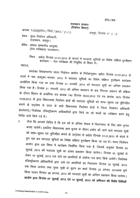ईमेल ⁄ डाक

राजस्थान सरकार (निर्वाचन विभाग)

कमांकः प.3(3)(4)रोल / निर्वा / 2012 / 2103

जयपुर, दिनांक 31 5 13

प्रेषक : मुख्य निर्वाचन अधिकारी, राजस्थान, जयपुर।

 $\sim$ 

प्रेषित : समस्त सम्भागीय आयुक्त, (रोल पर्यवेक्षक) राजस्थान।

विषय : अर्हता दिनांक 01.01.2013 के सन्दर्भ में मतदाता सूचियों का विशेष संक्षिप्त पुनरीक्षण कार्यक्रम - रोल पर्यवेक्षक की नियुक्ति के विषय में। महोदय,

उपरोक्त विषयान्तर्गत भारत निर्वाचन आयोग के निर्देशानुसार अर्हता दिनांक 01.01.2013 के संदर्भ में माह अक्टूबर–नवम्बर, 2012 में मतदाता सूचियों का विशेष संक्षिप्त पुनरीक्षण कार्यक्रम आयोजित किया गया था तथा दिनांक 21 जनवरी, 2013 को मतदाता सूची का अन्तिम प्रकाशन किया गया है। दिनांक 21 जनवरी, 2013 को अन्तिम प्रकाशन के बाद निरन्तर अद्यतन की प्रक्रिया के दौरान विभाग के प्रासंगिक पत्र कमांक 740 दिनांक 08.03.2013 एवं पत्र कमांक 1675 दिनांक 10.05.2013 के द्वारा विधानसभा निर्वाचन क्षेत्रों की मतदाता सूचियों को साफ-सुथरा एवं त्रुटिरहित बनाने के उद्देश्य से राज्य के सभी विधानसभा निर्वाचन क्षेत्रों में जिला निर्वाचन अधिकारी (कलेक्टर) / निर्वाचक रजिस्ट्रीकरण अधिकारियों द्वारा किये जा रहे कार्यों का पर्यवेक्षण करने हेतु निर्देश जारी किये गये है।

जैसा कि आपको विदित है कि इस वर्ष के अन्तिम त्रैमास में विधानसभा के लिए आम चुनाव  $2.$ कराए जायेगें। इसलिए विधानसभा आम चुनाव के दौरान प्रयोग की जाने वाले मतदाता सूची को साफ-सुथरा एवं त्रुटिरहित बनाने के उद्देश्य से अर्हता दिनांक 01.01.2013 के संदर्भ में पुनः एक बार मतदाता सूचियों का विशेक्ष संक्षिप्त पुनरीक्षण किया जा रहा है। भारत निर्वाचन आयोग द्वारा इस विषय में कार्यक्रम निर्धारित किया गया है, जिसके अनुसार दिनांक 03 जुलाई, 2013 को मतदाता सूची का प्रारूप प्रकाशन किया जायेगा। दिनांक 03 जुलाई से लेकर 18 जुलाई, 2013 तक दावे एवं आपत्तियों के प्रार्थना–पत्र प्राप्त किये जायेगें। निर्वाचक रजिस्ट्रीकरण अधिकारियों द्वारा दावे एवं आपत्तियों का निस्तारण दिनांक 30 जुलाई, 2013 तक किया जायेगा तथा पूरक सूची के मुद्रण का कार्य दिनांक 22 अगस्त, 2013तक पूर्ण किया जाकर दिनांक 26 अगस्त, 2013 को मतदाता सूची का अन्तिम प्रकाशन किया जायेगा। आयोग द्वारा दिनांक ०७ जुलाई, २०१३ एवं १४ जुलाई, २०१३ को अभियान की विशेष तिथियाँ

 $-24-$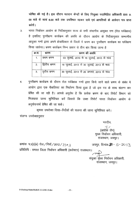घोषित की गई है। इस दौरान मतदान केन्द्रों के लिए नियुक्त पदाभिहित अधिकारी प्रातः 9. 00 बजे से सायं 6.00 बजे तक उपस्थित रहकर दावे एवं आपत्तियों के आवेदन पत्र प्राप्त करेगें ।

J. भारत निर्वाचन आयोग के निर्देशानुसार राज्य के सभी संभागीय आयुक्त गण (रोल पर्यवेक्षक) है इसलिए पुनरीक्षण कार्यक्रम की अवधि के दौरान आयोग के निर्देशानुसार सम्भागीय आयुक्त गणों द्वारा अपने क्षेत्राधिकार के जिलों में भ्रमण कर पुनरीक्षण कार्यक्रम का पर्यवेक्षण किया जायेगा। भ्रमण कार्यक्रम निम्न प्रकार से तीन बार किया जाना है

| क्र.स. | भ्रमण         | भ्रमण की अवधि                            |
|--------|---------------|------------------------------------------|
| 1.     | प्रथम भ्रमण   | 03 जुलाई, 2013 से 18 जुलाई, 2013 के मध्य |
| 2.     | द्वितीय भ्रमण | 18 जुलाई, 2013 से 30 जुलाई, 2013 के मध्य |
| 3.     | ्तृतीय भ्रमण  | 30 जुलाई, 2013 से 26 अगस्त, 2013 के मध्य |

4. पुनरीक्षण कार्यक्रम के दौरान रोल पर्यवेक्षक गणों द्वारा किये जाने वाले भ्रमण के संबंध में आयोग द्वारा एक चैकलिस्ट का निर्धारण किया हुआ है जो इस पत्र के साथ संलग्न कर प्रेषित की जा रही है। आपसे अनुरोध है कि प्रत्येक भ्रमण के बाद रिपोर्ट विभाग को भिजवाया जाना सुनिश्चित करें जिससे कि उक्त रिपोर्ट भारत निर्वाचन आयोग के अनुमोदनार्थ प्रेषित की जा सके।

कृपया उपरोक्त दिशा-निर्देशों की पालना की जाना सुनिश्चित करें। संलग्नः उपरोक्तानुसार

भवदीय,

 $\overline{a}$ (अशोक जैन) मुख्य निर्वाचन अधिकारी, राजस्थान, जयपुर।

जयपुर, दिनांक 31 - 5-2013

प्रतिलिपि ः समस्त जिला निर्वाचन अधिकारी (कलेक्टर) राजस्थान।

कमांकः प.3(3)(4) रोल $\sqrt{$ निर्वा $\sqrt{2}$ 012 $\sqrt{2}$ | ० २

संयुक्त *मु*ख्य निर्वाचन अधिकारी, राजस्थान, जयपुर।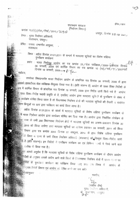ईमेल ⁄ डाक

### राजस्थान सरकार (निर्वाचन विभाग)

कमांकः प.३(३)(२)रोल / निर्वा / २०१० / ३। १ ८

जयपुर, दिनांक 22.10 2010

प्रेषक: मुख्य निर्वाचन अधिकारी, राजस्थान, जयपुर।

प्रेषितः समस्त सम्भागीय आयुक्त, राजस्थान

> विषय : अर्हता दिनांक ०१.०१.२०११ के सन्दर्भ में मतदाता सूचियों का विशेष संक्षिप्त पुंनरीक्षण कार्यक्रम

प्रसंग : भारत निर्वाचन आयोग का पत्र कमांक 23/रोल पर्यवेक्षक/2009-इंऑरएस दिनांक 06 जनवरी, 2009 एवं कार्मिक विभाग का पत्र कमांक 10 (10)/पर्स/ए1/2007पार्ट दिनांक 19 जनवरी, 2009 →  $\rho$   $\gamma$ 

.सहोदय,

उपरोक्त विषयान्तर्गत भारत निर्वाचन आयोग के प्रांसंगिक पत्र दिनांक 06 जनवरी, 2009 के द्वारा िल्लामा इत्वक्टोरल सेल पर्यवेक्षक नियुक्त किया गया है। (प्रति संलग्न है) आयोग के उक्त दिशा निर्देशों के हु<br>हुई क्रुम में कार्मिक विभाग के प्रांसगिक पत्र दिनांक 19 जनवरी, 2009 द्वारा निर्देश जारी किये गये है ' आयोग ः ।<br>इन्निरुजन्त दिशा—निर्देश स्थायी प्रकृति के है, इसलिए आयोग द्वारा मतदाता सूचियों के पुनरीक्षण के संबंध में िल्ला हुए।<br>अनुबन्धिकार्यक्रम घोषित किया जाता है तो विधानसभा निर्वाचन क्षेत्रों की मतदाता सूचियों की तैयारी से संबंधित ्तिभिन्न-बिन्दुओं पर आप द्वारा पर्यवेक्षण का कार्य किया जाना है।

अर्हता दिनांक 01.01.2011 के संदर्भ में मतदाता सूचियों के विशेष संक्षिप्त पुनरीक्षण कार्यक्रम के क्राइस<br>क्राइस भारत निर्वाचन आयोग द्वारा कार्यक्रम घोषित कर दिया गया है। आयोग द्वारा निर्धारित फार्यक्रम के हुन्दुः<br>अनुसारः राज्य के सभी 200 विधानसभा निर्वाचन क्षेत्रों में मतदाता सूचियों का प्रारूप—प्रकाशन दिनांक 30 हुन्दुद्धाः :<br>अल्लुबर् २०१० को किया जायेगा तथा मतदाता सूचियों का अन्तिम प्रकाशन ०६ जनवरी, २०११ को किया क्रिक्किनि विभाग द्वारा पत्र कमांक 3043 दिनांक ०७ अक्टूबर, २०१० के द्वारा विशेष संक्षिप्त पुनरीक्षण ै।<br>अनुकूम के विषय में राज्य के सभी जिला निर्वाचन अधिकारी (कलक्टर) को<sub>थी</sub>विस्तृत दिशा—निर्देश जारी ।<br>अनुसार है (प्रति संलग्न)। इन निर्देशों में पुनरीक्षण कार्यक्रम का एवं विभिन्न घरणों में किये जाने वाले .<br>क्रिकेटिक उल्लेख भी किया गया है।

ः ।<br>अन्निमानः आपसे अनुरोध है कि मतदाता सूचियों के विशेष संक्षिप्त पुनरीक्षण कार्यक्रम के दौरान आयोग िल्लामिर्देशों के अनुरूप आपके अधीन आने वाले जिलों के विधानसभा निर्वाचन क्षेत्रों में समय-न्याय्य पर ्त्रियो के पुनशंक्षण कार्यक्रम का पर्यवेक्षण किया जाए तथा एस विषय में आयोग के ्रानिक निर्मार रिपोर्ट विभाग एवं आयोग को प्रेषित करने का श्रम करें। **े अनुसार** अनुसार

भवदीयः 2210 (अशोक जैन) मुख्य निर्जनन अधिकारी राजाथान, जनपुर।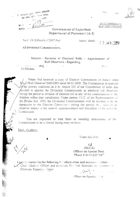MOST IMMEDIATE **TION URGENT** 

# Government of Rajasthan Department of Personnel (A-I)

No.F.10(10)Pers/A-1/2007 Part

ক্ষার্ত্রাম দুরুত্ব নি<del>য়মি</del>ন <mark>অঘিকার্থী</mark>

एवं एडेन *भ*न्

झ- त

स्तिपिंग

Jaipur, dated :

19 JAN 2009

 $\overline{(\overline{a})}$ 

All Divisional Commissioners.

Subject: - Revision of Electoral Rolls - Appointment of Roll Observers - Regarding.

Sir/Madam

Please find herewith a copy of Election Commission of India's letter No.23/Roll Observer/2009-ERS dated 06.01.2009. The Commission in exercise  $5$ t $\sqrt{t}$ he powers conferred on it by Article 324 of the Constitution of India. has decided to appoint the Divisional Commissioner as electoral roll observers during the period or revision of electoral roll in any of the constituencies in the districts within their jurisdiction. Under section 13CC of the Representation of the People Act. 1950, the Divisional Commissioners will be deemed to be on deputation to the Election Commission during the period they function as observer subject to the control, superintendence and discipline of the Election Commission.

You are requested to treat these as standing instructions of the Commissioner to be followed during every revision.

Encl.: As above.

Yours faithfully.

 $5\lambda$  $(Shilp4)$ Officer on Special Duty Phone # 0141-2227347

Copy forwarded to the following for information and necessary action:- $\vee$ . Chief Electoral Officer and ex-officio Principal Secretary to Government. Elections. Rajasthan, Jaipur.

Officer on Special Dory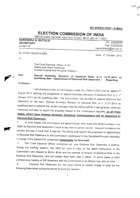BY SPEED POST / E-MAIL

 $y_{\mu}$ گرين

# ELECTION COMMISSION OF INDIA

ROAD. NEW DELHI-110001

NARENDRA N. BUTOLIA SECRETARY e-mail I.D<sup>®</sup>

Ph. 23052016 Fax 23052050 narendranb@eci.nic.in

No.23/Roll Obs/2012-ERS

Date: 5<sup>th</sup> October, 2012

To

4 rr' The Chief Electorat Officer of Ail States and Union Territories (Except Gujarat and Himachal Pradesh)

Special Summary Revision of Electoral Rolls w.r.t. 01.01.2013 as<br>qualifying date - Appointment of Electoral Roll Observers – Regarding. qualifying date - Appointment of Electoral Roll Observers - Regarding. Sub:

Srr/Madam,

August 2012, sending the programme of Special Summary Revision of Electoral Roll, w.r.t 1st January 2013 as the qualifying date. The Commission has decided to appoint Electoral Roll Observers for the said Special Summary Revision of Electoral Roll, w.r.t. 01.01.2013 as qualifying date to observe the revision process, help the DEOs/ EROs in taking timely corrective measures and also to report the progress thereof to the Commission regularly **In all those** I am directed to refer to Commission's letter No. 23/2012-ERS (Vol-III), dated 27<sup>th</sup> States, which have revenue divisions, Divisional Commissioners will be appointed as **Electoral Roll Observers.** 

2. In other States, the Commission will appoint Super time scale IAS officers posted in the State as Electoral Roll observers in such a way that no person will be required to observe the revision process in more than 5 districts. The CEOs shall submit the proposals for appointment of Electoral Roll Observers to the Commission (addressed to the Secretary/Principal Secretary in charge of the States/UTs concerned) immediately by fax/e-mail.

3. The Chief Electoral Officer concerned will give Electoral Roll Observers a briefing During the briefing session, the CEO will give a copy of the latest instructions of the Commission with respect to BLOs. BLAs and the process of revision of Electoral Rolls to the Electoral Roll Observers, and will explain them each step in detail. In some cases a video conferencing meeting of ER Observers with the Commission or its officers may also be held.<br>4. Electoral Roll Observers will visit each district of his/her charge at least for the

following three times during the period of summary revision -

 $\mathbf{1}$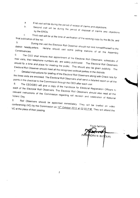$\mathsf{a}$ 

First visit will be during the period of receipt of claims and objections. Second visit will be during the period of disposal of claims and objections  $b<sub>1</sub>$ 

Third visit will be at the time of verification of the working copy by the BLOs, and  $\mathcal{C}$ final publication of the roll.  $5<sub>1</sub>$ 

During the visit the Electoral Roll Observer should not limit himself/herself to the district headquarters. He/she should visit some polling stations of all the Assembly Constituencies. 6.

The CEO shall ensure that appointment of the Electoral Roll Observers, schedules of their visits, their telephone numbers etc. are widely publicized. The Electoral Roll Observers should fix a time and place for meeting the public. This should also be given publicity The Electoral Roll Observer should meet all the recognized political parties in the districts

Detailed instructions for briefing of the Electoral Roll Observers along with Check lists for the three visits are enclosed. The Electoral Roll Observers shall send a detailed report on all the points in the checklist to the Commission through the CEO after each visit.

The CEO/DEO will give a copy of the Handbook for Electoral Registration Officers to each of the Electoral Roll Observers. The Electoral Roll Observers should also read all the relevant instructions of the Commission regarding roll revision and celebration of National Voters' Day. 9.

Roll Observers should be appointed immediately. They will be briefed on video conferencing (VC) by the Commission on 12<sup>th</sup> October 2012 at 02.00 P.M. They will attend the

Yours faithfully **ENDRA N. BUTOLIA)** 

 $\overline{2}$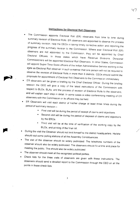# **Instructions for Electoral Roll Observers**

- The Commission appoints Electoral Roll (ER) observers from time to time during<br>summary revision of Electoral Rolls. ER observers are appointed to observe the process<br>of summary revision, help the DEOs in taking timely corr Electoral Officers. In those states which have Revenue Divisions, Divisional Commissioners will be appointed Electoral Roll Observers. In other States, Commission will appoint Super Time Scale officers of the Indian Administrative Service working in the state as Electoral Roll observer in such a ma
- 
- ER Observers will visit each district of his/her charge at least three times during the period of summary revision -
	- First visit will be during the period of receipt of claims and objections.
	- Second visit will be during the period of disposal of claims and objections by the EROs.
	- \* Third visit will be at the time of verification of the working copy by the BLOs, and printing of the final roll.
- During the visit the Observer should not limit himself to the district headquarters. He/she
- should visit some polling stations of all the Assembly Constituencies.<br>The visit of the observer should be widely publicized. The telephone numbers of the observer should also be widely publicized. The observers should fix a time and place for meeting the public. This should also be widely publicized.
- The observer should meet all the recognized political parties.
- check lists for the three visits of observers are given with these instructions The observers should send a detailed report to the Commission through the CEO on all the points in these check lists.

47

/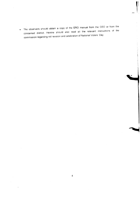The observers should obtain a copy of the ERO manual from the CEO or from the concerned district. He/she should also read all the relevant instructions of the  $\bullet$ commission regarding roll revision and celebration of National Voters' Day.

 $\sim$ 

 $\bar{z}$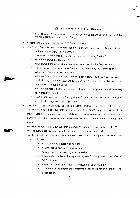### **Check List for First Visit of ER Observers**

u b

(The Report of first visit should answer all the questions given below in detail, mention corrective action taken if any)

- Whether there are any vacancies of EROs and AEROs.
- Whether BLOs have been appointed according to the instructions of the Commission
	- o Is there one BLO per Polling Station?
	- o Are all BLOs registered as voter in the concerned Polling Station?
	- .: How many BLOs are teachers?
	- -r Have BLos been given ldentity cards as prescribed by ihe commission?
	- c Do BLO residences have Name Boards as prescribed by the Commrssion?
	- o Whether BLOs are properiy trained?
	- c \lJhether BLAs have been appornted for each Polling booth by every recognized political party? Whether DEO and EROs have held meeting of political parties to request them to appoint BLAs.
	- o Have designated officers been appointed for each polling station and have they been properly trained?
	- o Have a hard copy and a soft copy of the Electoral Roll Published as draft been given to all recognized political parties?
- Has the polling station wise pdf of the Draft Electoral Roll with all its existing supplements been made available on the website of the CEO? Has electoral roll of the entire Assembly Constituency been published at the notice board of the ERO, and electoral roll of the concerned part been published on the notice board of the poiling station.
- Are Forms 6, 6A, 7, 8 and 8A available in adequate number at every polling station?
- Has adequate publicity been given to the process of summary revision?
- Has the district put in place an effective Public Grievance Management System? This should include -
	- . <sup>A</sup>call center wiih a toll free number.
	- \* A SMS based complaint registration system.
	- A web based complaint registration system.
	- r <sup>A</sup>separate counter and a separate register for complaints in the office of DEO and EROs.
	- A mechanism for timely inquiry and action on all complaints.
	- . A mechanism to inform the complainant about the result of inquiry and action taken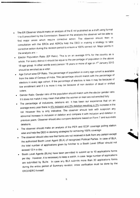- The ER Observer should make an analysis of the E roll published as a draft using format 1 to 8 prescribed by the Commission. Based on the analysis the observer will be able to find major areas which require corrective action. The observer should then in consultation with the EROs and AEROs help the DEO in making a strategy to take corrective action during the revision period to ensure a 100% correct roll. Major points in the analysis are: -
- Elector Population Ratio (EP Ratio). This is on an average 61% for the country as a whole. For every district it should be equal to the percentage of population in the above 18 age group. In other words every person 18 years or more of age on 1st January 2013 should be enrolled as a voter.
- Age Cohort wise EP Ratio. The percentage of population in every age cohort is available from the data of Census of India. This percentage should match with the percentage of electors in every age cohort. If the percentage of electors is less it may be because of low enrollment and if it is more it may be because of non deletion of dead or shifted voters.
- Gender Ratio. Gender ratio of the population should match with the elector gender ratio. If it does not match it may mean that either the women or men are not enrolled fully.
- The percentage of inclusions, deletions etc. It has been our experience that on an average every year there is 4% inclusion and 2% deletion resulting in 2% increase in the roll. However this is only indicative. The observer should look with suspicion any abnormal increase in inclusion or deletion and compare it with inclusion and deletion in previous years. Observer should also compare deletions based on Form 7 and suo-moto deletions.
- The observer should make an analysis of the PER and ECIP coverage polling station wise and help the DEO in devising strategies for achieving 100% coverage.
- The observer should also see that forms are not received in bulk from any person except the authorized Booth Level Agent (BLA) of recognized Political Parties. In case of BLA, the total number of applications given by him/her to a Booth Level Officer should not exceed 10 in a day.
- Booth Level Agents (BLAs) have been permitted to submit up to 10 applications forms per day. However, it is necessary to keep a watch, in case large number of applications are submitted by BLAs. In case any BLA submits more than 30 applications forms during the entire period of Summary revision. cross verification must be done by the ERO/AERO himself.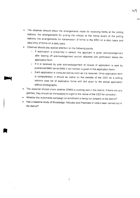The observer should check the arrangements made for receiving forms at the polling  $\bullet$ stations, the arrangements for putting the notices at the notice board of the polling stations, the arrangements for transmission of forms to the ERO on a daily basis and data entry of forms on a daily basis.

५५

- 
- Observer should pay special attention on the following points:<br>
o If application is presented in person, the applicant is given acknowledgement after tearing off acknowledgement section attached with perforation below the appiication form.
	- $-$  If it is received by post acknowledgement of receipt of application is sent by post/email/SMS (email/SMS if cell number is given in the application form).
	- o Each application is computerized as soon as it is received. Once application form is computerized, it should be visible on the website of the CEO as a polling stations wise list of application forms with drill down to the actual application without photographs.
- The observer should check whether ERMS is working well in the district. If there are any glitches, they should be immediately brought to the notice of the CEO for correction.
- Whether the multimedia campaign on enrollment is being run properly in the district?
- Has a baseline study of Knowledge, Attitudes and Practices of voters been carried out in the district?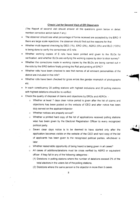#### **Check List for Second Visit of ER Observers**

(The Report of second visit should answer all the questions given below in detail, mention corrective action taken if  $any$ )

- The observer should see what percentage of forms received are accepted by the ERO. If there are large scale rejections, the observer should find out the reasons for that.
- Whether multi-layered checking by DEO (1%), ERO (3%), AERO (5%) and BLO (100%) is being done to verify the correctness of  $E$  rolls.
- Whether working copies of E rolls have been printed and given to the BLOs for verification, and whether BLOs are verifying the working copies by door to door survey?
- Whether the corrections made in working copies by the BLOs are being carried out in the rolls by the ERO before finally printing the Roll and printing of EPIC?
- Whether rolls have been checked to see that names of all eminent personalities of the district are included in the rolls?

-"flq

- Whether rolls have been checked for gross errors like gender mismatch of photographs etc.
- In each constituency 20 polling stations with highest inclusions and 20 polling stations with highest deletions should be re-verified.
- Check the quality of disposal of claims and objections by EROs and AEROs:
	- o Whether at least 7 days clear notice period is given after the list of claims and objections has been posted on the website of CEO and after notice has been duly served on the applicant/objector.
	- c Whether notices are properly served?
	- $\circ$  Whether a printed hard copy of the list of applications received polling stations wise has been given by the Electoral Registration Officer to everv recognized political party.
	- Seven clear days notice is to be deemed to have started only after the application becomes visible on the website of the CEO and hard copy of the list of applicants has been given to the recognized political parties, whichever is later.
	- Whether reasonable opportunity of being heard is being given in all cases? O
	- o All cases of additions/deletions must be cross verified by AERO or equivalent officer if they fall in any of the following categories.-
		- (1) Deletions in polling stations where the number of deletions exceed 2% of the total electors in the voters list of the polling stations.
		- (2) Deletions where the same person is the objector in more than 5 cases.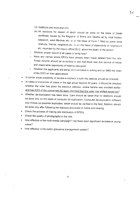- (3) Additions are more than  $4\%$ .
- (4) All deletions for reason of death should be done on the basis of Death certificate issued by the Registrar of Births and Deaths or by local bodies, sarpanch, ward Member etc. or on the basis of Form 7 filled by some close relatives. friends, neighbors etc. or on the basis of statements of neighbours etc. recorded by the inquiry officer/BLO, about the death of the person

 $\zeta_{\mathcal{O}}$ 

- $\circ$  Whether proper record of all cases is being kept?
- <sup>c</sup>Have any names where EPlcs have already been made deleted from the rolls These records should be re-verified to see that there was due service of notice and reasonable opportunity of hearing was given.
- o Whether the applicants are being communicated in writing and on SMS the order of the ERO on their applications
- In border areas possibility of double enrollment in both the districts should be checked
- In cases of inclusions of voters in the age group beyond 20 years, it should be checked whether the voter has given his previous address, where he/she was enrolled earlier.<br>and has ERO of the concerned AC been informed that this voter has shifted residence?
- whether de-duplication has been done. Care should be taken that no deletions should be done only on the basis of computer de-duplication. Computer de-duplication software only throws up possible duplicates, which should be verified in the field. Deletion should be done only after following the statutory provisions of notice and hearing.
- Check the process of making and distribution of EPICs.
- Check the quality of photographs in the rolls.
- ' How effective !s the mufti-media campaign? Has there been significant increase In young voters?
- How effective is the public grievance management system?